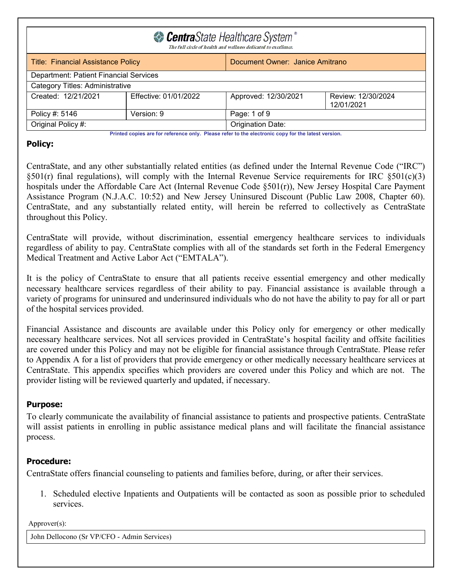| CentraState Healthcare System <sup>®</sup><br>The full circle of health and wellness dedicated to excellence. |                                                                              |                   |  |  |  |
|---------------------------------------------------------------------------------------------------------------|------------------------------------------------------------------------------|-------------------|--|--|--|
|                                                                                                               | Document Owner: Janice Amitrano<br><b>Title: Financial Assistance Policy</b> |                   |  |  |  |
|                                                                                                               | Department: Patient Financial Services                                       |                   |  |  |  |
| Category Titles: Administrative                                                                               |                                                                              |                   |  |  |  |
| Created: 12/21/2021<br>Effective: 01/01/2022<br>Review: 12/30/2024<br>Approved: 12/30/2021<br>12/01/2021      |                                                                              |                   |  |  |  |
| Policy #: 5146                                                                                                | Version: 9<br>Page: 1 of 9                                                   |                   |  |  |  |
| Original Policy #:                                                                                            |                                                                              | Origination Date: |  |  |  |

### **Policy:**

CentraState, and any other substantially related entities (as defined under the Internal Revenue Code ("IRC")  $\S501(r)$  final regulations), will comply with the Internal Revenue Service requirements for IRC  $\S501(c)(3)$ hospitals under the Affordable Care Act (Internal Revenue Code §501(r)), New Jersey Hospital Care Payment Assistance Program (N.J.A.C. 10:52) and New Jersey Uninsured Discount (Public Law 2008, Chapter 60). CentraState, and any substantially related entity, will herein be referred to collectively as CentraState throughout this Policy.

CentraState will provide, without discrimination, essential emergency healthcare services to individuals regardless of ability to pay. CentraState complies with all of the standards set forth in the Federal Emergency Medical Treatment and Active Labor Act ("EMTALA").

It is the policy of CentraState to ensure that all patients receive essential emergency and other medically necessary healthcare services regardless of their ability to pay. Financial assistance is available through a variety of programs for uninsured and underinsured individuals who do not have the ability to pay for all or part of the hospital services provided.

Financial Assistance and discounts are available under this Policy only for emergency or other medically necessary healthcare services. Not all services provided in CentraState's hospital facility and offsite facilities are covered under this Policy and may not be eligible for financial assistance through CentraState. Please refer to Appendix A for a list of providers that provide emergency or other medically necessary healthcare services at CentraState. This appendix specifies which providers are covered under this Policy and which are not. The provider listing will be reviewed quarterly and updated, if necessary.

## **Purpose:**

To clearly communicate the availability of financial assistance to patients and prospective patients. CentraState will assist patients in enrolling in public assistance medical plans and will facilitate the financial assistance process.

## **Procedure:**

CentraState offers financial counseling to patients and families before, during, or after their services.

1. Scheduled elective Inpatients and Outpatients will be contacted as soon as possible prior to scheduled services.

Approver(s):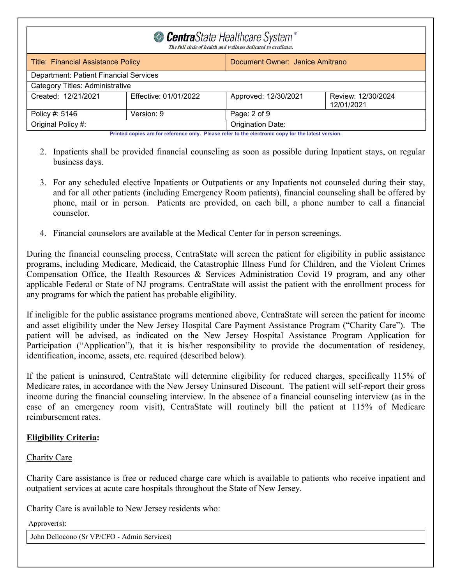| CentraState Healthcare System <sup>®</sup><br>The full circle of health and wellness dedicated to excellence. |            |                   |  |  |
|---------------------------------------------------------------------------------------------------------------|------------|-------------------|--|--|
| <b>Title: Financial Assistance Policy</b><br>Document Owner: Janice Amitrano                                  |            |                   |  |  |
| Department: Patient Financial Services                                                                        |            |                   |  |  |
| Category Titles: Administrative                                                                               |            |                   |  |  |
| Created: 12/21/2021<br>Effective: 01/01/2022<br>Approved: 12/30/2021<br>Review: 12/30/2024<br>12/01/2021      |            |                   |  |  |
| Policy #: 5146                                                                                                | Version: 9 | Page: 2 of 9      |  |  |
| Original Policy #:                                                                                            |            | Origination Date: |  |  |
| Printed copies are for reference only. Please refer to the electronic copy for the latest version.            |            |                   |  |  |

2. Inpatients shall be provided financial counseling as soon as possible during Inpatient stays, on regular business days.

- 3. For any scheduled elective Inpatients or Outpatients or any Inpatients not counseled during their stay, and for all other patients (including Emergency Room patients), financial counseling shall be offered by phone, mail or in person. Patients are provided, on each bill, a phone number to call a financial counselor.
- 4. Financial counselors are available at the Medical Center for in person screenings.

During the financial counseling process, CentraState will screen the patient for eligibility in public assistance programs, including Medicare, Medicaid, the Catastrophic Illness Fund for Children, and the Violent Crimes Compensation Office, the Health Resources & Services Administration Covid 19 program, and any other applicable Federal or State of NJ programs. CentraState will assist the patient with the enrollment process for any programs for which the patient has probable eligibility.

If ineligible for the public assistance programs mentioned above, CentraState will screen the patient for income and asset eligibility under the New Jersey Hospital Care Payment Assistance Program ("Charity Care"). The patient will be advised, as indicated on the New Jersey Hospital Assistance Program Application for Participation ("Application"), that it is his/her responsibility to provide the documentation of residency, identification, income, assets, etc. required (described below).

If the patient is uninsured, CentraState will determine eligibility for reduced charges, specifically 115% of Medicare rates, in accordance with the New Jersey Uninsured Discount. The patient will self-report their gross income during the financial counseling interview. In the absence of a financial counseling interview (as in the case of an emergency room visit), CentraState will routinely bill the patient at 115% of Medicare reimbursement rates.

### **Eligibility Criteria:**

### Charity Care

Charity Care assistance is free or reduced charge care which is available to patients who receive inpatient and outpatient services at acute care hospitals throughout the State of New Jersey.

Charity Care is available to New Jersey residents who:

Approver(s):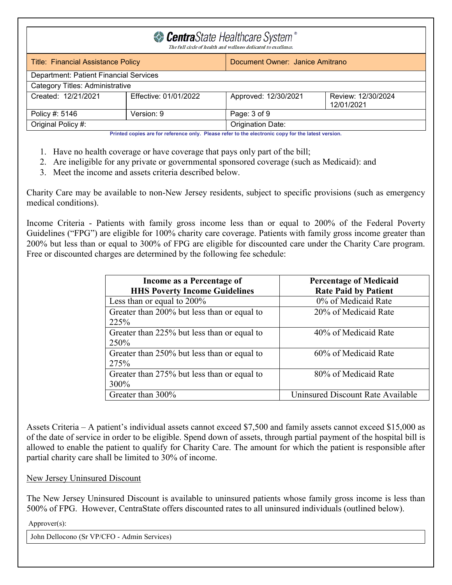| CentraState Healthcare System <sup>®</sup><br>The full circle of health and wellness dedicated to excellence. |  |                   |  |  |
|---------------------------------------------------------------------------------------------------------------|--|-------------------|--|--|
| <b>Title: Financial Assistance Policy</b><br>Document Owner: Janice Amitrano                                  |  |                   |  |  |
| Department: Patient Financial Services                                                                        |  |                   |  |  |
| Category Titles: Administrative                                                                               |  |                   |  |  |
| Effective: 01/01/2022<br>Approved: 12/30/2021<br>Created: 12/21/2021<br>Review: 12/30/2024<br>12/01/2021      |  |                   |  |  |
| Page: 3 of 9<br>Version: 9<br>Policy #: 5146                                                                  |  |                   |  |  |
| Original Policy #:                                                                                            |  | Origination Date: |  |  |

- 1. Have no health coverage or have coverage that pays only part of the bill;
- 2. Are ineligible for any private or governmental sponsored coverage (such as Medicaid): and
- 3. Meet the income and assets criteria described below.

Charity Care may be available to non-New Jersey residents, subject to specific provisions (such as emergency medical conditions).

Income Criteria - Patients with family gross income less than or equal to 200% of the Federal Poverty Guidelines ("FPG") are eligible for 100% charity care coverage. Patients with family gross income greater than 200% but less than or equal to 300% of FPG are eligible for discounted care under the Charity Care program. Free or discounted charges are determined by the following fee schedule:

| Income as a Percentage of                   | <b>Percentage of Medicaid</b>     |
|---------------------------------------------|-----------------------------------|
| <b>HHS Poverty Income Guidelines</b>        | <b>Rate Paid by Patient</b>       |
| Less than or equal to $200\%$               | 0% of Medicaid Rate               |
| Greater than 200% but less than or equal to | 20% of Medicaid Rate              |
| 225%                                        |                                   |
| Greater than 225% but less than or equal to | 40% of Medicaid Rate              |
| 250%                                        |                                   |
| Greater than 250% but less than or equal to | 60% of Medicaid Rate              |
| 275%                                        |                                   |
| Greater than 275% but less than or equal to | 80% of Medicaid Rate              |
| 300%                                        |                                   |
| Greater than 300%                           | Uninsured Discount Rate Available |

Assets Criteria – A patient's individual assets cannot exceed \$7,500 and family assets cannot exceed \$15,000 as of the date of service in order to be eligible. Spend down of assets, through partial payment of the hospital bill is allowed to enable the patient to qualify for Charity Care. The amount for which the patient is responsible after partial charity care shall be limited to 30% of income.

#### New Jersey Uninsured Discount

The New Jersey Uninsured Discount is available to uninsured patients whose family gross income is less than 500% of FPG. However, CentraState offers discounted rates to all uninsured individuals (outlined below).

Approver(s):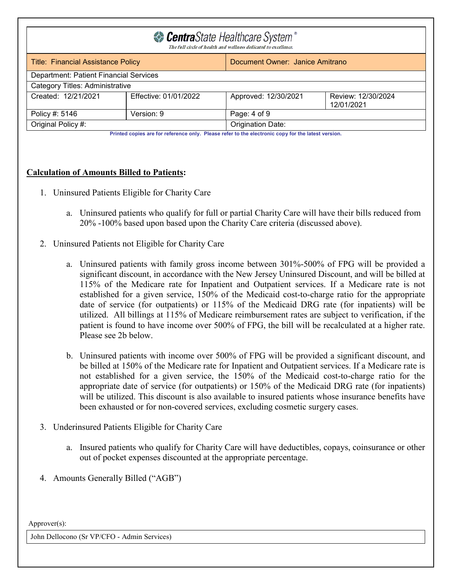| CentraState Healthcare System®<br>The full circle of health and wellness dedicated to excellence.        |            |                   |  |  |
|----------------------------------------------------------------------------------------------------------|------------|-------------------|--|--|
| Document Owner: Janice Amitrano<br><b>Title: Financial Assistance Policy</b>                             |            |                   |  |  |
| Department: Patient Financial Services                                                                   |            |                   |  |  |
| Category Titles: Administrative                                                                          |            |                   |  |  |
| Effective: 01/01/2022<br>Created: 12/21/2021<br>Approved: 12/30/2021<br>Review: 12/30/2024<br>12/01/2021 |            |                   |  |  |
| Policy #: 5146                                                                                           | Version: 9 | Page: 4 of 9      |  |  |
| Original Policy #:                                                                                       |            | Origination Date: |  |  |

### **Calculation of Amounts Billed to Patients:**

- 1. Uninsured Patients Eligible for Charity Care
	- a. Uninsured patients who qualify for full or partial Charity Care will have their bills reduced from 20% -100% based upon based upon the Charity Care criteria (discussed above).
- 2. Uninsured Patients not Eligible for Charity Care
	- a. Uninsured patients with family gross income between 301%-500% of FPG will be provided a significant discount, in accordance with the New Jersey Uninsured Discount, and will be billed at 115% of the Medicare rate for Inpatient and Outpatient services. If a Medicare rate is not established for a given service, 150% of the Medicaid cost-to-charge ratio for the appropriate date of service (for outpatients) or 115% of the Medicaid DRG rate (for inpatients) will be utilized. All billings at 115% of Medicare reimbursement rates are subject to verification, if the patient is found to have income over 500% of FPG, the bill will be recalculated at a higher rate. Please see 2b below.
	- b. Uninsured patients with income over 500% of FPG will be provided a significant discount, and be billed at 150% of the Medicare rate for Inpatient and Outpatient services. If a Medicare rate is not established for a given service, the 150% of the Medicaid cost-to-charge ratio for the appropriate date of service (for outpatients) or 150% of the Medicaid DRG rate (for inpatients) will be utilized. This discount is also available to insured patients whose insurance benefits have been exhausted or for non-covered services, excluding cosmetic surgery cases.
- 3. Underinsured Patients Eligible for Charity Care
	- a. Insured patients who qualify for Charity Care will have deductibles, copays, coinsurance or other out of pocket expenses discounted at the appropriate percentage.
- 4. Amounts Generally Billed ("AGB")

Approver(s):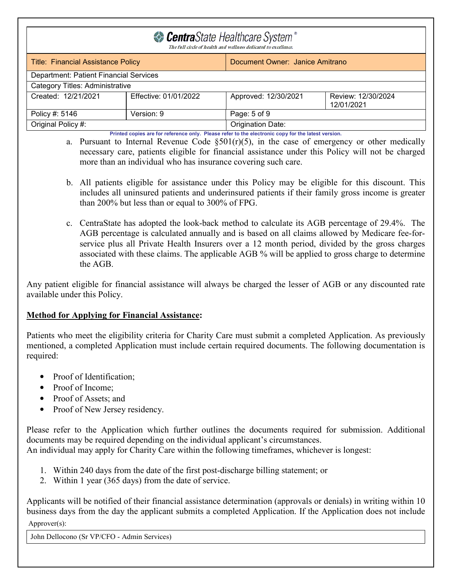| CentraState Healthcare System <sup>®</sup><br>The full circle of health and wellness dedicated to excellence. |            |                   |  |  |
|---------------------------------------------------------------------------------------------------------------|------------|-------------------|--|--|
| Document Owner: Janice Amitrano<br><b>Title: Financial Assistance Policy</b>                                  |            |                   |  |  |
| Department: Patient Financial Services                                                                        |            |                   |  |  |
| Category Titles: Administrative                                                                               |            |                   |  |  |
| Created: 12/21/2021<br>Effective: 01/01/2022<br>Approved: 12/30/2021<br>Review: 12/30/2024<br>12/01/2021      |            |                   |  |  |
| Policy #: 5146                                                                                                | Version: 9 | Page: 5 of 9      |  |  |
| Original Policy #:                                                                                            |            | Origination Date: |  |  |
| Printed copies are for reference only. Please refer to the electronic copy for the latest version.            |            |                   |  |  |

a. Pursuant to Internal Revenue Code  $\S501(r)(5)$ , in the case of emergency or other medically necessary care, patients eligible for financial assistance under this Policy will not be charged more than an individual who has insurance covering such care.

- b. All patients eligible for assistance under this Policy may be eligible for this discount. This includes all uninsured patients and underinsured patients if their family gross income is greater than 200% but less than or equal to 300% of FPG.
- c. CentraState has adopted the look-back method to calculate its AGB percentage of 29.4%. The AGB percentage is calculated annually and is based on all claims allowed by Medicare fee-forservice plus all Private Health Insurers over a 12 month period, divided by the gross charges associated with these claims. The applicable AGB % will be applied to gross charge to determine the AGB.

Any patient eligible for financial assistance will always be charged the lesser of AGB or any discounted rate available under this Policy.

## **Method for Applying for Financial Assistance:**

Patients who meet the eligibility criteria for Charity Care must submit a completed Application. As previously mentioned, a completed Application must include certain required documents. The following documentation is required:

- Proof of Identification:
- Proof of Income:
- Proof of Assets; and
- Proof of New Jersey residency.

Please refer to the Application which further outlines the documents required for submission. Additional documents may be required depending on the individual applicant's circumstances. An individual may apply for Charity Care within the following timeframes, whichever is longest:

- - 1. Within 240 days from the date of the first post-discharge billing statement; or
- 2. Within 1 year (365 days) from the date of service.

Applicants will be notified of their financial assistance determination (approvals or denials) in writing within 10 business days from the day the applicant submits a completed Application. If the Application does not include

#### Approver(s):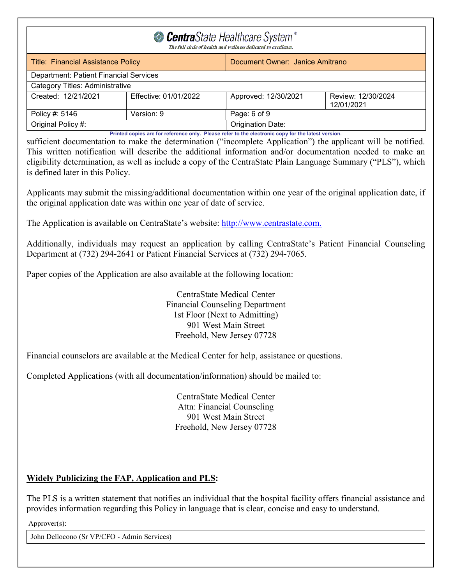| CentraState Healthcare System <sup>®</sup><br>The full circle of health and wellness dedicated to excellence. |  |                   |  |  |
|---------------------------------------------------------------------------------------------------------------|--|-------------------|--|--|
| <b>Title: Financial Assistance Policy</b><br>Document Owner: Janice Amitrano                                  |  |                   |  |  |
| Department: Patient Financial Services                                                                        |  |                   |  |  |
| <b>Category Titles: Administrative</b>                                                                        |  |                   |  |  |
| Created: 12/21/2021<br>Effective: 01/01/2022<br>Approved: 12/30/2021<br>Review: 12/30/2024<br>12/01/2021      |  |                   |  |  |
| Page: 6 of 9<br>Policy #: 5146<br>Version: 9                                                                  |  |                   |  |  |
| Original Policy #:                                                                                            |  | Origination Date: |  |  |
| Printed copies are for reference only. Please refer to the electronic copy for the latest version.            |  |                   |  |  |

sufficient documentation to make the determination ("incomplete Application") the applicant will be notified. This written notification will describe the additional information and/or documentation needed to make an eligibility determination, as well as include a copy of the CentraState Plain Language Summary ("PLS"), which is defined later in this Policy.

Applicants may submit the missing/additional documentation within one year of the original application date, if the original application date was within one year of date of service.

The Application is available on CentraState's website: [http://www.centrastate.com.](http://www.centrastate.com/)

Additionally, individuals may request an application by calling CentraState's Patient Financial Counseling Department at (732) 294-2641 or Patient Financial Services at (732) 294-7065.

Paper copies of the Application are also available at the following location:

### CentraState Medical Center Financial Counseling Department 1st Floor (Next to Admitting) 901 West Main Street Freehold, New Jersey 07728

Financial counselors are available at the Medical Center for help, assistance or questions.

Completed Applications (with all documentation/information) should be mailed to:

CentraState Medical Center Attn: Financial Counseling 901 West Main Street Freehold, New Jersey 07728

# **Widely Publicizing the FAP, Application and PLS:**

The PLS is a written statement that notifies an individual that the hospital facility offers financial assistance and provides information regarding this Policy in language that is clear, concise and easy to understand.

Approver(s):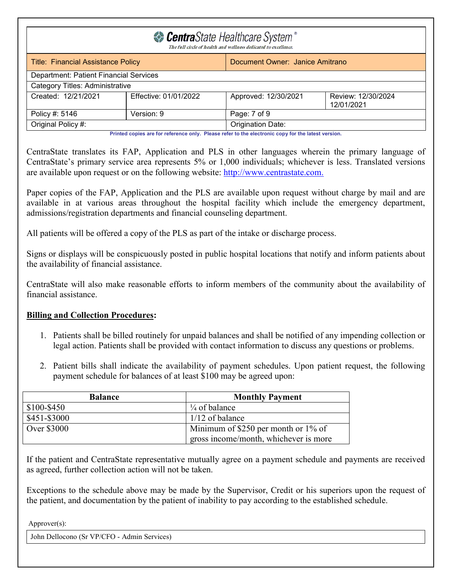| CentraState Healthcare System <sup>®</sup><br>The full circle of health and wellness dedicated to excellence. |                                        |                   |  |  |  |
|---------------------------------------------------------------------------------------------------------------|----------------------------------------|-------------------|--|--|--|
| <b>Title: Financial Assistance Policy</b><br>Document Owner: Janice Amitrano                                  |                                        |                   |  |  |  |
|                                                                                                               | Department: Patient Financial Services |                   |  |  |  |
| Category Titles: Administrative                                                                               |                                        |                   |  |  |  |
| Effective: 01/01/2022<br>Created: 12/21/2021<br>Approved: 12/30/2021<br>Review: 12/30/2024<br>12/01/2021      |                                        |                   |  |  |  |
| Version: 9<br>Page: 7 of 9<br>Policy #: 5146                                                                  |                                        |                   |  |  |  |
| Original Policy #:<br>医心中性 医心包 医心包 医心包 医心包 医心包 医心包 医心脏 医血管切除术 医心脏 医神经 医神经 医神经 医心包 医心包 医心脏 医神经性病 医心脏病 医心脏      |                                        | Origination Date: |  |  |  |

CentraState translates its FAP, Application and PLS in other languages wherein the primary language of CentraState's primary service area represents 5% or 1,000 individuals; whichever is less. Translated versions are available upon request or on the following website: [http://www.centrastate.com.](http://www.centrastate.com/)

Paper copies of the FAP, Application and the PLS are available upon request without charge by mail and are available in at various areas throughout the hospital facility which include the emergency department, admissions/registration departments and financial counseling department.

All patients will be offered a copy of the PLS as part of the intake or discharge process.

Signs or displays will be conspicuously posted in public hospital locations that notify and inform patients about the availability of financial assistance.

CentraState will also make reasonable efforts to inform members of the community about the availability of financial assistance.

### **Billing and Collection Procedures:**

- 1. Patients shall be billed routinely for unpaid balances and shall be notified of any impending collection or legal action. Patients shall be provided with contact information to discuss any questions or problems.
- 2. Patient bills shall indicate the availability of payment schedules. Upon patient request, the following payment schedule for balances of at least \$100 may be agreed upon:

| <b>Balance</b>                                     | <b>Monthly Payment</b>                |  |
|----------------------------------------------------|---------------------------------------|--|
| $$100 - $450$                                      | $\frac{1}{4}$ of balance              |  |
| \$451-\$3000                                       | $1/12$ of balance                     |  |
| Over \$3000<br>Minimum of \$250 per month or 1% of |                                       |  |
|                                                    | gross income/month, whichever is more |  |

If the patient and CentraState representative mutually agree on a payment schedule and payments are received as agreed, further collection action will not be taken.

Exceptions to the schedule above may be made by the Supervisor, Credit or his superiors upon the request of the patient, and documentation by the patient of inability to pay according to the established schedule.

Approver(s):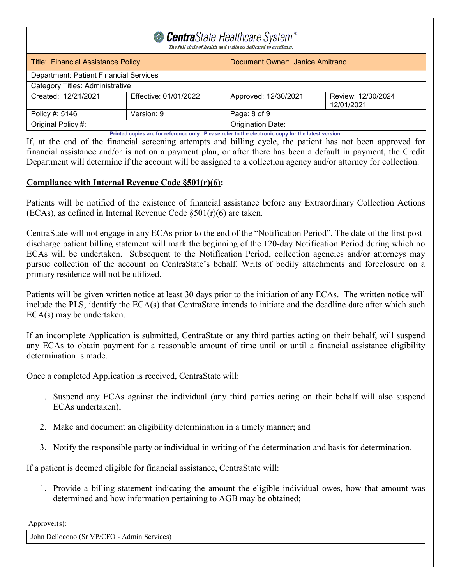| CentraState Healthcare System <sup>®</sup><br>The full circle of health and wellness dedicated to excellence. |  |                   |  |  |
|---------------------------------------------------------------------------------------------------------------|--|-------------------|--|--|
| Document Owner: Janice Amitrano<br><b>Title: Financial Assistance Policy</b>                                  |  |                   |  |  |
| Department: Patient Financial Services                                                                        |  |                   |  |  |
| <b>Category Titles: Administrative</b>                                                                        |  |                   |  |  |
| Created: 12/21/2021<br>Effective: 01/01/2022<br>Approved: 12/30/2021<br>Review: 12/30/2024<br>12/01/2021      |  |                   |  |  |
| Policy #: 5146<br>Page: 8 of 9<br>Version: 9                                                                  |  |                   |  |  |
| Original Policy #:                                                                                            |  | Origination Date: |  |  |
| Printed copies are for reference only. Please refer to the electronic copy for the latest version.            |  |                   |  |  |

If, at the end of the financial screening attempts and billing cycle, the patient has not been approved for financial assistance and/or is not on a payment plan, or after there has been a default in payment, the Credit Department will determine if the account will be assigned to a collection agency and/or attorney for collection.

### **Compliance with Internal Revenue Code §501(r)(6):**

Patients will be notified of the existence of financial assistance before any Extraordinary Collection Actions (ECAs), as defined in Internal Revenue Code §501(r)(6) are taken.

CentraState will not engage in any ECAs prior to the end of the "Notification Period". The date of the first postdischarge patient billing statement will mark the beginning of the 120-day Notification Period during which no ECAs will be undertaken. Subsequent to the Notification Period, collection agencies and/or attorneys may pursue collection of the account on CentraState's behalf. Writs of bodily attachments and foreclosure on a primary residence will not be utilized.

Patients will be given written notice at least 30 days prior to the initiation of any ECAs. The written notice will include the PLS, identify the ECA(s) that CentraState intends to initiate and the deadline date after which such ECA(s) may be undertaken.

If an incomplete Application is submitted, CentraState or any third parties acting on their behalf, will suspend any ECAs to obtain payment for a reasonable amount of time until or until a financial assistance eligibility determination is made.

Once a completed Application is received, CentraState will:

- 1. Suspend any ECAs against the individual (any third parties acting on their behalf will also suspend ECAs undertaken);
- 2. Make and document an eligibility determination in a timely manner; and
- 3. Notify the responsible party or individual in writing of the determination and basis for determination.

If a patient is deemed eligible for financial assistance, CentraState will:

1. Provide a billing statement indicating the amount the eligible individual owes, how that amount was determined and how information pertaining to AGB may be obtained;

Approver(s):